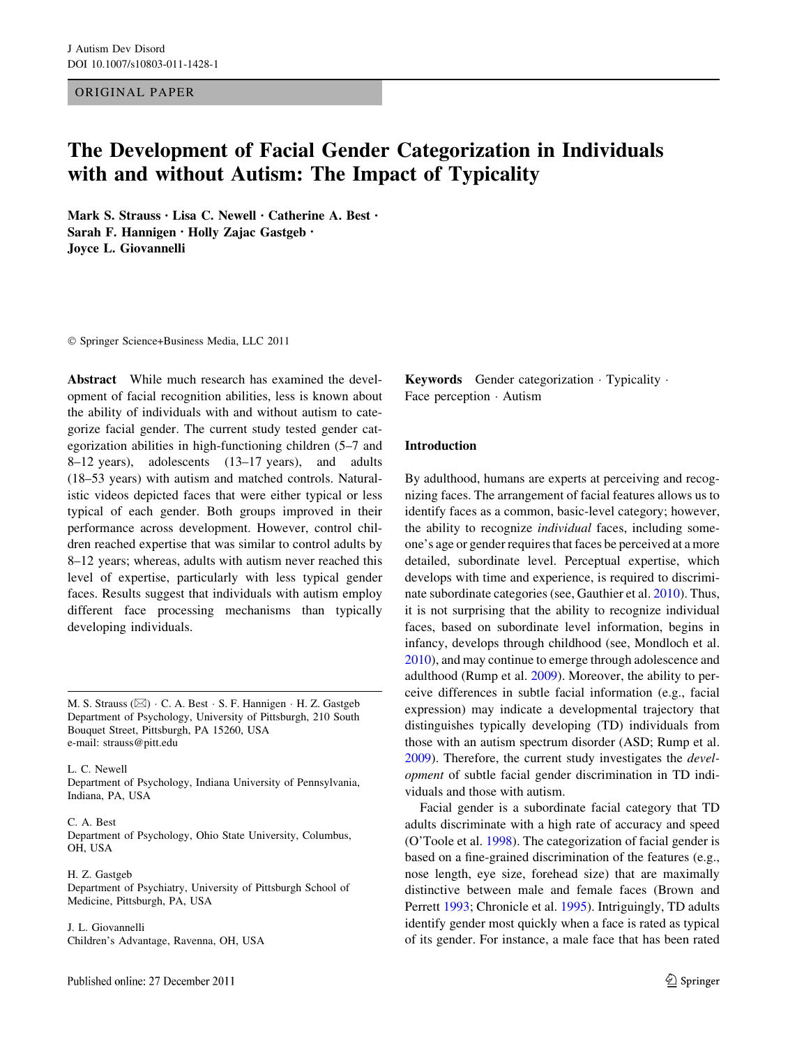ORIGINAL PAPER

# The Development of Facial Gender Categorization in Individuals with and without Autism: The Impact of Typicality

Mark S. Strauss • Lisa C. Newell • Catherine A. Best • Sarah F. Hannigen • Holly Zajac Gastgeb • Joyce L. Giovannelli

- Springer Science+Business Media, LLC 2011

Abstract While much research has examined the development of facial recognition abilities, less is known about the ability of individuals with and without autism to categorize facial gender. The current study tested gender categorization abilities in high-functioning children (5–7 and 8–12 years), adolescents (13–17 years), and adults (18–53 years) with autism and matched controls. Naturalistic videos depicted faces that were either typical or less typical of each gender. Both groups improved in their performance across development. However, control children reached expertise that was similar to control adults by 8–12 years; whereas, adults with autism never reached this level of expertise, particularly with less typical gender faces. Results suggest that individuals with autism employ different face processing mechanisms than typically developing individuals.

M. S. Strauss (⊠) · C. A. Best · S. F. Hannigen · H. Z. Gastgeb Department of Psychology, University of Pittsburgh, 210 South Bouquet Street, Pittsburgh, PA 15260, USA e-mail: strauss@pitt.edu

L. C. Newell Department of Psychology, Indiana University of Pennsylvania, Indiana, PA, USA

C. A. Best Department of Psychology, Ohio State University, Columbus, OH, USA

H. Z. Gastgeb Department of Psychiatry, University of Pittsburgh School of Medicine, Pittsburgh, PA, USA

J. L. Giovannelli Children's Advantage, Ravenna, OH, USA Keywords Gender categorization · Typicality · Face perception - Autism

### Introduction

By adulthood, humans are experts at perceiving and recognizing faces. The arrangement of facial features allows us to identify faces as a common, basic-level category; however, the ability to recognize individual faces, including someone's age or gender requires that faces be perceived at a more detailed, subordinate level. Perceptual expertise, which develops with time and experience, is required to discriminate subordinate categories (see, Gauthier et al. [2010](#page-8-0)). Thus, it is not surprising that the ability to recognize individual faces, based on subordinate level information, begins in infancy, develops through childhood (see, Mondloch et al. [2010](#page-8-0)), and may continue to emerge through adolescence and adulthood (Rump et al. [2009\)](#page-8-0). Moreover, the ability to perceive differences in subtle facial information (e.g., facial expression) may indicate a developmental trajectory that distinguishes typically developing (TD) individuals from those with an autism spectrum disorder (ASD; Rump et al. [2009](#page-8-0)). Therefore, the current study investigates the development of subtle facial gender discrimination in TD individuals and those with autism.

Facial gender is a subordinate facial category that TD adults discriminate with a high rate of accuracy and speed (O'Toole et al. [1998](#page-8-0)). The categorization of facial gender is based on a fine-grained discrimination of the features (e.g., nose length, eye size, forehead size) that are maximally distinctive between male and female faces (Brown and Perrett [1993](#page-7-0); Chronicle et al. [1995\)](#page-7-0). Intriguingly, TD adults identify gender most quickly when a face is rated as typical of its gender. For instance, a male face that has been rated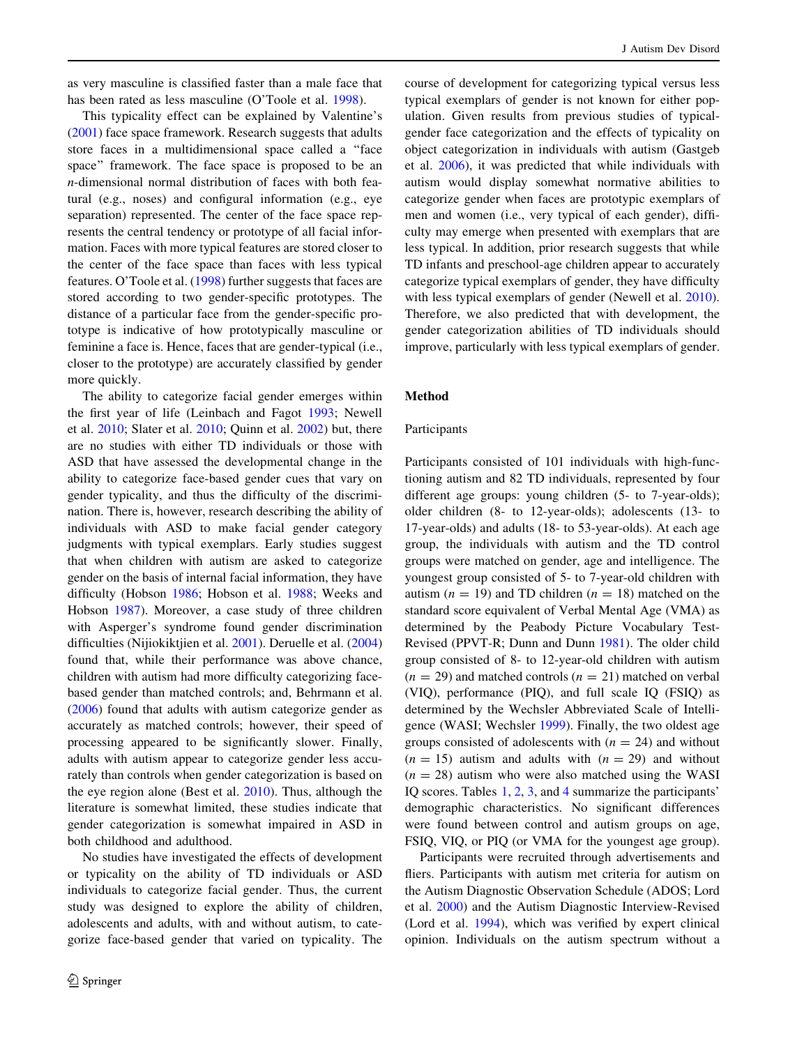as very masculine is classified faster than a male face that has been rated as less masculine (O'Toole et al. [1998](#page-8-0)).

This typicality effect can be explained by Valentine's [\(2001](#page-8-0)) face space framework. Research suggests that adults store faces in a multidimensional space called a ''face space'' framework. The face space is proposed to be an n-dimensional normal distribution of faces with both featural (e.g., noses) and configural information (e.g., eye separation) represented. The center of the face space represents the central tendency or prototype of all facial information. Faces with more typical features are stored closer to the center of the face space than faces with less typical features. O'Toole et al. [\(1998](#page-8-0)) further suggests that faces are stored according to two gender-specific prototypes. The distance of a particular face from the gender-specific prototype is indicative of how prototypically masculine or feminine a face is. Hence, faces that are gender-typical (i.e., closer to the prototype) are accurately classified by gender more quickly.

The ability to categorize facial gender emerges within the first year of life (Leinbach and Fagot [1993;](#page-8-0) Newell et al. [2010;](#page-8-0) Slater et al. [2010](#page-8-0); Quinn et al. [2002\)](#page-8-0) but, there are no studies with either TD individuals or those with ASD that have assessed the developmental change in the ability to categorize face-based gender cues that vary on gender typicality, and thus the difficulty of the discrimination. There is, however, research describing the ability of individuals with ASD to make facial gender category judgments with typical exemplars. Early studies suggest that when children with autism are asked to categorize gender on the basis of internal facial information, they have difficulty (Hobson [1986;](#page-8-0) Hobson et al. [1988;](#page-8-0) Weeks and Hobson [1987](#page-8-0)). Moreover, a case study of three children with Asperger's syndrome found gender discrimination difficulties (Nijiokiktjien et al. [2001](#page-8-0)). Deruelle et al. ([2004\)](#page-7-0) found that, while their performance was above chance, children with autism had more difficulty categorizing facebased gender than matched controls; and, Behrmann et al. [\(2006](#page-7-0)) found that adults with autism categorize gender as accurately as matched controls; however, their speed of processing appeared to be significantly slower. Finally, adults with autism appear to categorize gender less accurately than controls when gender categorization is based on the eye region alone (Best et al. [2010](#page-7-0)). Thus, although the literature is somewhat limited, these studies indicate that gender categorization is somewhat impaired in ASD in both childhood and adulthood.

No studies have investigated the effects of development or typicality on the ability of TD individuals or ASD individuals to categorize facial gender. Thus, the current study was designed to explore the ability of children, adolescents and adults, with and without autism, to categorize face-based gender that varied on typicality. The course of development for categorizing typical versus less typical exemplars of gender is not known for either population. Given results from previous studies of typicalgender face categorization and the effects of typicality on object categorization in individuals with autism (Gastgeb et al. [2006](#page-8-0)), it was predicted that while individuals with autism would display somewhat normative abilities to categorize gender when faces are prototypic exemplars of men and women (i.e., very typical of each gender), difficulty may emerge when presented with exemplars that are less typical. In addition, prior research suggests that while TD infants and preschool-age children appear to accurately categorize typical exemplars of gender, they have difficulty with less typical exemplars of gender (Newell et al. [2010](#page-8-0)). Therefore, we also predicted that with development, the gender categorization abilities of TD individuals should improve, particularly with less typical exemplars of gender.

### Method

### Participants

Participants consisted of 101 individuals with high-functioning autism and 82 TD individuals, represented by four different age groups: young children (5- to 7-year-olds); older children (8- to 12-year-olds); adolescents (13- to 17-year-olds) and adults (18- to 53-year-olds). At each age group, the individuals with autism and the TD control groups were matched on gender, age and intelligence. The youngest group consisted of 5- to 7-year-old children with autism ( $n = 19$ ) and TD children ( $n = 18$ ) matched on the standard score equivalent of Verbal Mental Age (VMA) as determined by the Peabody Picture Vocabulary Test-Revised (PPVT-R; Dunn and Dunn [1981\)](#page-7-0). The older child group consisted of 8- to 12-year-old children with autism  $(n = 29)$  and matched controls  $(n = 21)$  matched on verbal (VIQ), performance (PIQ), and full scale IQ (FSIQ) as determined by the Wechsler Abbreviated Scale of Intelligence (WASI; Wechsler [1999\)](#page-8-0). Finally, the two oldest age groups consisted of adolescents with  $(n = 24)$  and without  $(n = 15)$  autism and adults with  $(n = 29)$  and without  $(n = 28)$  autism who were also matched using the WASI IQ scores. Tables [1,](#page-2-0) [2,](#page-2-0) [3,](#page-2-0) and [4](#page-2-0) summarize the participants' demographic characteristics. No significant differences were found between control and autism groups on age, FSIQ, VIQ, or PIQ (or VMA for the youngest age group).

Participants were recruited through advertisements and fliers. Participants with autism met criteria for autism on the Autism Diagnostic Observation Schedule (ADOS; Lord et al. [2000](#page-8-0)) and the Autism Diagnostic Interview-Revised (Lord et al. [1994](#page-8-0)), which was verified by expert clinical opinion. Individuals on the autism spectrum without a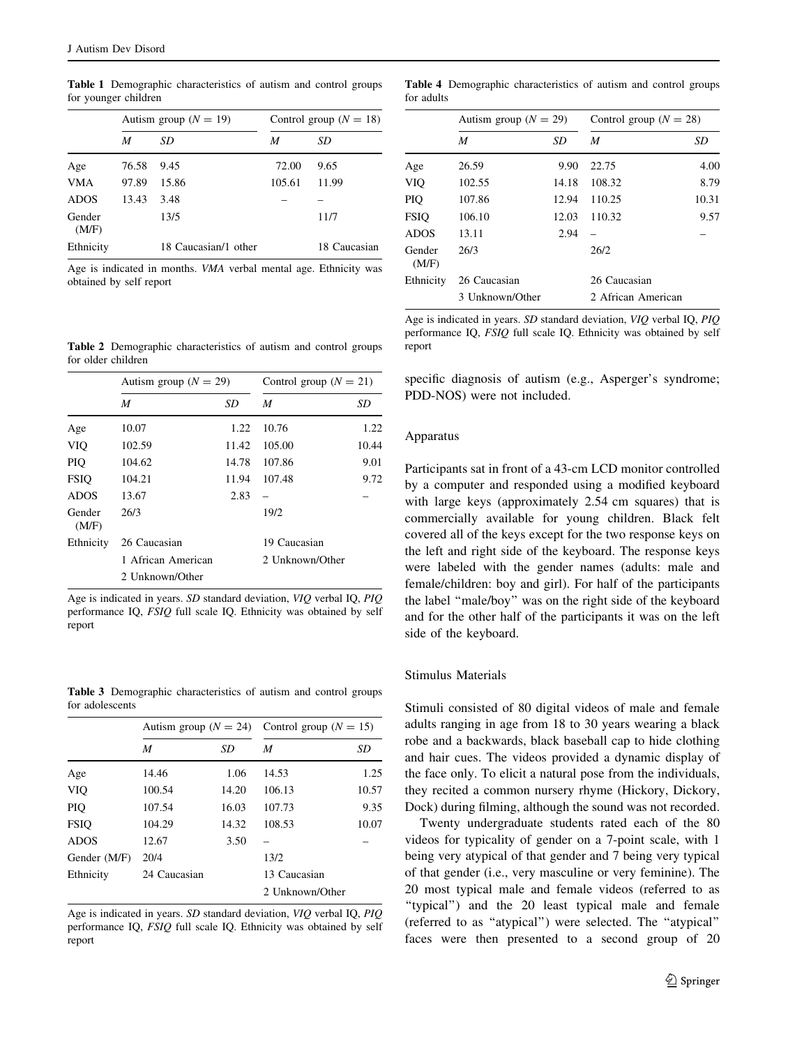<span id="page-2-0"></span>Table 1 Demographic characteristics of autism and control groups for younger children

|                 | Autism group ( $N = 19$ ) |                      | Control group $(N = 18)$ |              |
|-----------------|---------------------------|----------------------|--------------------------|--------------|
|                 | M                         | SD                   | M                        | SD           |
| Age             | 76.58                     | 9.45                 | 72.00                    | 9.65         |
| <b>VMA</b>      | 97.89                     | 15.86                | 105.61                   | 11.99        |
| <b>ADOS</b>     | 13.43                     | 3.48                 |                          |              |
| Gender<br>(M/F) |                           | 13/5                 |                          | 11/7         |
| Ethnicity       |                           | 18 Caucasian/1 other |                          | 18 Caucasian |

Age is indicated in months. VMA verbal mental age. Ethnicity was obtained by self report

Table 2 Demographic characteristics of autism and control groups for older children

|                 | Autism group ( $N = 29$ )             |       | Control group $(N = 21)$ |       |
|-----------------|---------------------------------------|-------|--------------------------|-------|
|                 | M                                     | SD    | M                        | SD    |
| Age             | 10.07                                 | 1.22  | 10.76                    | 1.22  |
| <b>VIO</b>      | 102.59                                | 11.42 | 105.00                   | 10.44 |
| <b>PIO</b>      | 104.62                                | 14.78 | 107.86                   | 9.01  |
| <b>FSIO</b>     | 104.21                                | 11.94 | 107.48                   | 9.72  |
| <b>ADOS</b>     | 13.67                                 | 2.83  |                          |       |
| Gender<br>(M/F) | 26/3                                  |       | 19/2                     |       |
| Ethnicity       | 26 Caucasian                          |       | 19 Caucasian             |       |
|                 | 1 African American<br>2 Unknown/Other |       | 2 Unknown/Other          |       |

Age is indicated in years. SD standard deviation, VIQ verbal IQ, PIQ performance IQ, FSIQ full scale IQ. Ethnicity was obtained by self report

Table 3 Demographic characteristics of autism and control groups for adolescents

|              | Autism group $(N = 24)$ |       | Control group ( $N = 15$ ) |       |
|--------------|-------------------------|-------|----------------------------|-------|
|              | M                       | SD    | M                          | SD    |
| Age          | 14.46                   | 1.06  | 14.53                      | 1.25  |
| <b>VIO</b>   | 100.54                  | 14.20 | 106.13                     | 10.57 |
| <b>PIQ</b>   | 107.54                  | 16.03 | 107.73                     | 9.35  |
| <b>FSIO</b>  | 104.29                  | 14.32 | 108.53                     | 10.07 |
| <b>ADOS</b>  | 12.67                   | 3.50  |                            |       |
| Gender (M/F) | 20/4                    |       | 13/2                       |       |
| Ethnicity    | 24 Caucasian            |       | 13 Caucasian               |       |
|              |                         |       | 2 Unknown/Other            |       |

Age is indicated in years. SD standard deviation, VIQ verbal IQ, PIQ performance IQ, FSIQ full scale IQ. Ethnicity was obtained by self report

Table 4 Demographic characteristics of autism and control groups for adults

|                 | Autism group ( $N = 29$ ) |       | Control group ( $N = 28$ ) |       |
|-----------------|---------------------------|-------|----------------------------|-------|
|                 | M                         | SD    | M                          | SD    |
| Age             | 26.59                     | 9.90  | 22.75                      | 4.00  |
| VIO             | 102.55                    | 14.18 | 108.32                     | 8.79  |
| PIO             | 107.86                    | 12.94 | 110.25                     | 10.31 |
| FSIO            | 106.10                    | 12.03 | 110.32                     | 9.57  |
| <b>ADOS</b>     | 13.11                     | 2.94  |                            |       |
| Gender<br>(M/F) | 26/3                      |       | 26/2                       |       |
| Ethnicity       | 26 Caucasian              |       | 26 Caucasian               |       |
|                 | 3 Unknown/Other           |       | 2 African American         |       |

Age is indicated in years. SD standard deviation, VIQ verbal IQ, PIQ performance IQ, FSIQ full scale IQ. Ethnicity was obtained by self report

specific diagnosis of autism (e.g., Asperger's syndrome; PDD-NOS) were not included.

#### Apparatus

Participants sat in front of a 43-cm LCD monitor controlled by a computer and responded using a modified keyboard with large keys (approximately 2.54 cm squares) that is commercially available for young children. Black felt covered all of the keys except for the two response keys on the left and right side of the keyboard. The response keys were labeled with the gender names (adults: male and female/children: boy and girl). For half of the participants the label ''male/boy'' was on the right side of the keyboard and for the other half of the participants it was on the left side of the keyboard.

### Stimulus Materials

Stimuli consisted of 80 digital videos of male and female adults ranging in age from 18 to 30 years wearing a black robe and a backwards, black baseball cap to hide clothing and hair cues. The videos provided a dynamic display of the face only. To elicit a natural pose from the individuals, they recited a common nursery rhyme (Hickory, Dickory, Dock) during filming, although the sound was not recorded.

Twenty undergraduate students rated each of the 80 videos for typicality of gender on a 7-point scale, with 1 being very atypical of that gender and 7 being very typical of that gender (i.e., very masculine or very feminine). The 20 most typical male and female videos (referred to as "typical") and the 20 least typical male and female (referred to as ''atypical'') were selected. The ''atypical'' faces were then presented to a second group of 20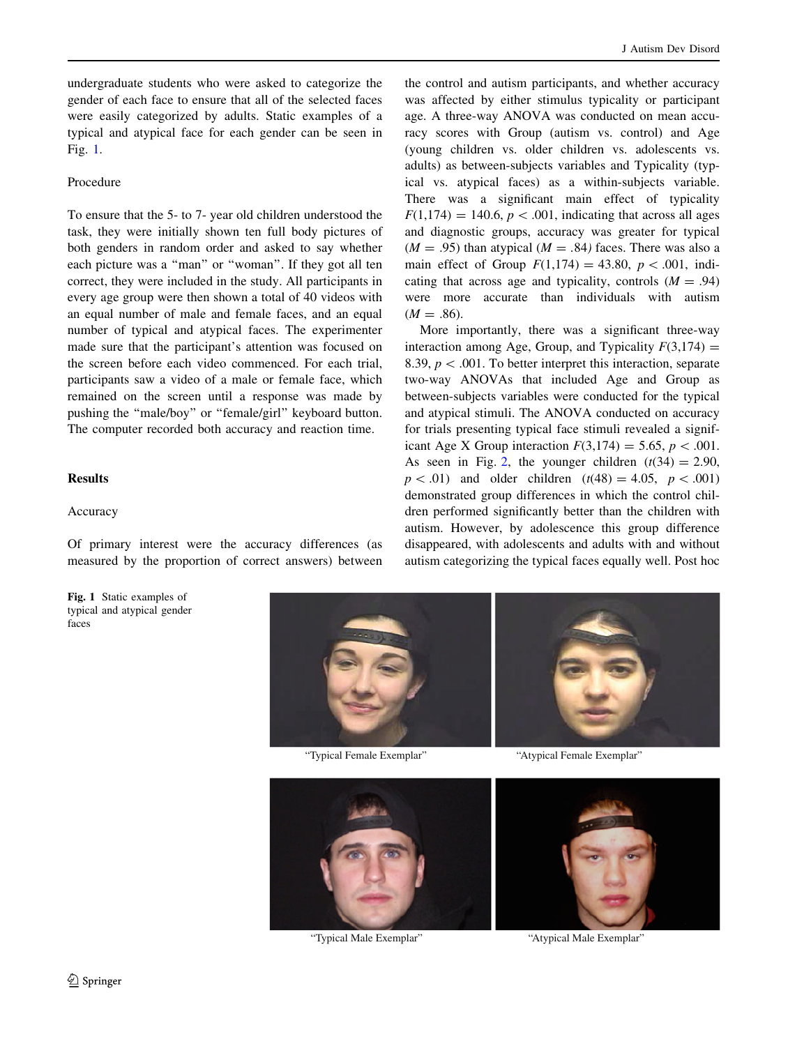undergraduate students who were asked to categorize the gender of each face to ensure that all of the selected faces were easily categorized by adults. Static examples of a typical and atypical face for each gender can be seen in Fig. 1.

# Procedure

To ensure that the 5- to 7- year old children understood the task, they were initially shown ten full body pictures of both genders in random order and asked to say whether each picture was a "man" or "woman". If they got all ten correct, they were included in the study. All participants in every age group were then shown a total of 40 videos with an equal number of male and female faces, and an equal number of typical and atypical faces. The experimenter made sure that the participant's attention was focused on the screen before each video commenced. For each trial, participants saw a video of a male or female face, which remained on the screen until a response was made by pushing the ''male/boy'' or ''female/girl'' keyboard button. The computer recorded both accuracy and reaction time.

# **Results**

### Accuracy

Of primary interest were the accuracy differences (as measured by the proportion of correct answers) between

Fig. 1 Static examples of typical and atypical gender faces

the control and autism participants, and whether accuracy was affected by either stimulus typicality or participant age. A three-way ANOVA was conducted on mean accuracy scores with Group (autism vs. control) and Age (young children vs. older children vs. adolescents vs. adults) as between-subjects variables and Typicality (typical vs. atypical faces) as a within-subjects variable. There was a significant main effect of typicality  $F(1,174) = 140.6, p < .001$ , indicating that across all ages and diagnostic groups, accuracy was greater for typical  $(M = .95)$  than atypical  $(M = .84)$  faces. There was also a main effect of Group  $F(1,174) = 43.80, p < .001$ , indicating that across age and typicality, controls  $(M = .94)$ were more accurate than individuals with autism  $(M = .86)$ .

More importantly, there was a significant three-way interaction among Age, Group, and Typicality  $F(3,174) =$ 8.39,  $p < .001$ . To better interpret this interaction, separate two-way ANOVAs that included Age and Group as between-subjects variables were conducted for the typical and atypical stimuli. The ANOVA conducted on accuracy for trials presenting typical face stimuli revealed a significant Age X Group interaction  $F(3,174) = 5.65$ ,  $p < .001$ . As seen in Fig. [2,](#page-4-0) the younger children  $(t(34) = 2.90$ ,  $p\,<.01$ ) and older children (t(48) = 4.05,  $p\,<.001$ ) demonstrated group differences in which the control children performed significantly better than the children with autism. However, by adolescence this group difference disappeared, with adolescents and adults with and without autism categorizing the typical faces equally well. Post hoc





"Typical Male Exemplar" "Atypical Male Exemplar"



"Typical Female Exemplar" "Atypical Female Exemplar"

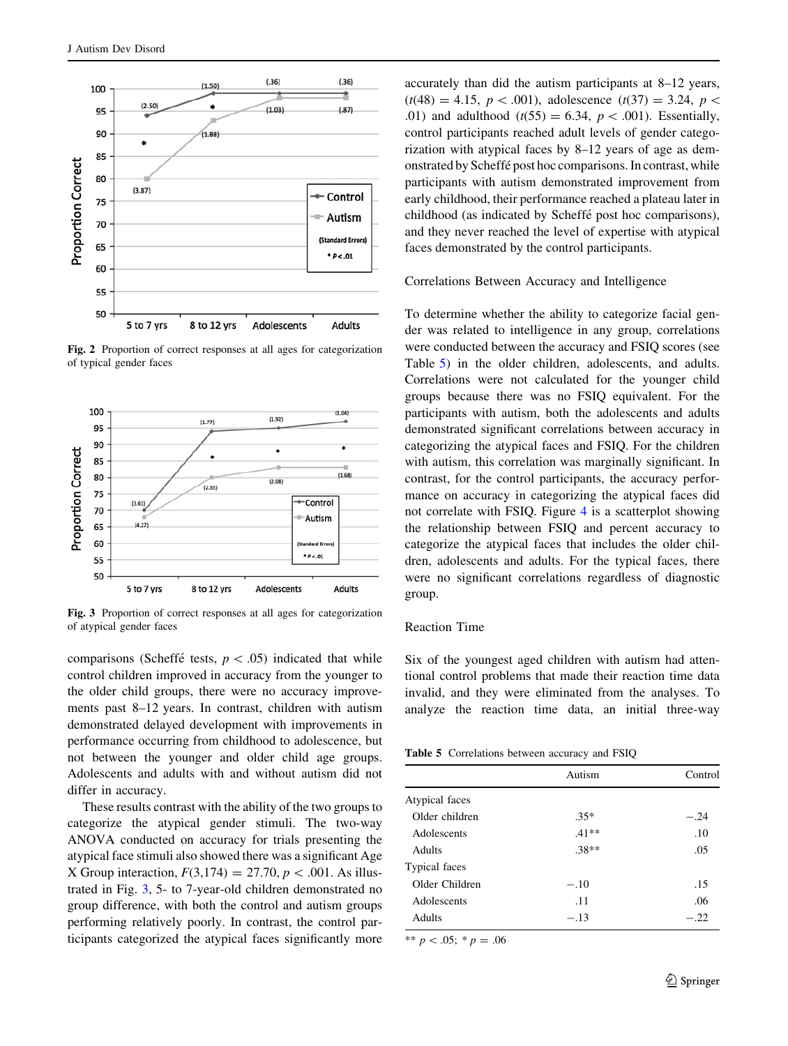<span id="page-4-0"></span>

Fig. 2 Proportion of correct responses at all ages for categorization of typical gender faces



Fig. 3 Proportion of correct responses at all ages for categorization of atypical gender faces

comparisons (Scheffé tests,  $p < .05$ ) indicated that while control children improved in accuracy from the younger to the older child groups, there were no accuracy improvements past 8–12 years. In contrast, children with autism demonstrated delayed development with improvements in performance occurring from childhood to adolescence, but not between the younger and older child age groups. Adolescents and adults with and without autism did not differ in accuracy.

These results contrast with the ability of the two groups to categorize the atypical gender stimuli. The two-way ANOVA conducted on accuracy for trials presenting the atypical face stimuli also showed there was a significant Age X Group interaction,  $F(3,174) = 27.70, p < .001$ . As illustrated in Fig. 3, 5- to 7-year-old children demonstrated no group difference, with both the control and autism groups performing relatively poorly. In contrast, the control participants categorized the atypical faces significantly more accurately than did the autism participants at 8–12 years,  $(t(48) = 4.15, p < .001)$ , adolescence  $(t(37) = 3.24, p < .001)$ .01) and adulthood  $(t(55) = 6.34, p < .001)$ . Essentially, control participants reached adult levels of gender categorization with atypical faces by 8–12 years of age as demonstrated by Scheffe<sup>\*</sup> post hoc comparisons. In contrast, while participants with autism demonstrated improvement from early childhood, their performance reached a plateau later in childhood (as indicated by Scheffe<sup>\*</sup> post hoc comparisons), and they never reached the level of expertise with atypical faces demonstrated by the control participants.

### Correlations Between Accuracy and Intelligence

To determine whether the ability to categorize facial gender was related to intelligence in any group, correlations were conducted between the accuracy and FSIQ scores (see Table 5) in the older children, adolescents, and adults. Correlations were not calculated for the younger child groups because there was no FSIQ equivalent. For the participants with autism, both the adolescents and adults demonstrated significant correlations between accuracy in categorizing the atypical faces and FSIQ. For the children with autism, this correlation was marginally significant. In contrast, for the control participants, the accuracy performance on accuracy in categorizing the atypical faces did not correlate with FSIQ. Figure [4](#page-5-0) is a scatterplot showing the relationship between FSIQ and percent accuracy to categorize the atypical faces that includes the older children, adolescents and adults. For the typical faces, there were no significant correlations regardless of diagnostic group.

### Reaction Time

Six of the youngest aged children with autism had attentional control problems that made their reaction time data invalid, and they were eliminated from the analyses. To analyze the reaction time data, an initial three-way

Table 5 Correlations between accuracy and FSIQ

|                | Autism  | Control |
|----------------|---------|---------|
| Atypical faces |         |         |
| Older children | $.35*$  | $-.24$  |
| Adolescents    | $.41**$ | .10     |
| <b>Adults</b>  | $.38**$ | .05     |
| Typical faces  |         |         |
| Older Children | $-.10$  | .15     |
| Adolescents    | .11     | .06     |
| Adults         | $-.13$  | $-.22$  |
|                |         |         |

\*\*  $p < .05$ ; \*  $p = .06$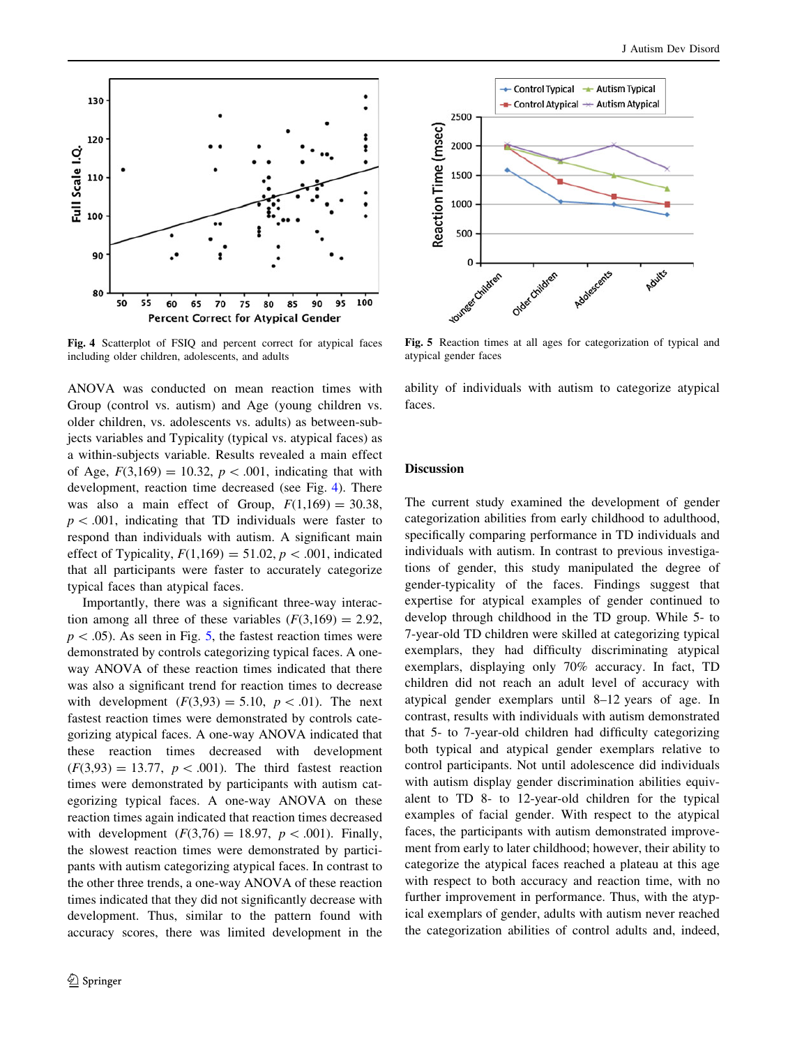<span id="page-5-0"></span>

Fig. 4 Scatterplot of FSIQ and percent correct for atypical faces including older children, adolescents, and adults

ANOVA was conducted on mean reaction times with Group (control vs. autism) and Age (young children vs. older children, vs. adolescents vs. adults) as between-subjects variables and Typicality (typical vs. atypical faces) as a within-subjects variable. Results revealed a main effect of Age,  $F(3,169) = 10.32, p < .001$ , indicating that with development, reaction time decreased (see Fig. 4). There was also a main effect of Group,  $F(1,169) = 30.38$ ,  $p\lt 0.001$ , indicating that TD individuals were faster to respond than individuals with autism. A significant main effect of Typicality,  $F(1,169) = 51.02$ ,  $p \lt .001$ , indicated that all participants were faster to accurately categorize typical faces than atypical faces.

Importantly, there was a significant three-way interaction among all three of these variables  $(F(3,169) = 2.92)$ ,  $p\lt 0.05$ ). As seen in Fig. 5, the fastest reaction times were demonstrated by controls categorizing typical faces. A oneway ANOVA of these reaction times indicated that there was also a significant trend for reaction times to decrease with development  $(F(3,93) = 5.10, p < .01)$ . The next fastest reaction times were demonstrated by controls categorizing atypical faces. A one-way ANOVA indicated that these reaction times decreased with development  $(F(3,93) = 13.77, p < .001)$ . The third fastest reaction times were demonstrated by participants with autism categorizing typical faces. A one-way ANOVA on these reaction times again indicated that reaction times decreased with development  $(F(3,76) = 18.97, p < .001)$ . Finally, the slowest reaction times were demonstrated by participants with autism categorizing atypical faces. In contrast to the other three trends, a one-way ANOVA of these reaction times indicated that they did not significantly decrease with development. Thus, similar to the pattern found with accuracy scores, there was limited development in the



Fig. 5 Reaction times at all ages for categorization of typical and atypical gender faces

ability of individuals with autism to categorize atypical faces.

### Discussion

The current study examined the development of gender categorization abilities from early childhood to adulthood, specifically comparing performance in TD individuals and individuals with autism. In contrast to previous investigations of gender, this study manipulated the degree of gender-typicality of the faces. Findings suggest that expertise for atypical examples of gender continued to develop through childhood in the TD group. While 5- to 7-year-old TD children were skilled at categorizing typical exemplars, they had difficulty discriminating atypical exemplars, displaying only 70% accuracy. In fact, TD children did not reach an adult level of accuracy with atypical gender exemplars until 8–12 years of age. In contrast, results with individuals with autism demonstrated that 5- to 7-year-old children had difficulty categorizing both typical and atypical gender exemplars relative to control participants. Not until adolescence did individuals with autism display gender discrimination abilities equivalent to TD 8- to 12-year-old children for the typical examples of facial gender. With respect to the atypical faces, the participants with autism demonstrated improvement from early to later childhood; however, their ability to categorize the atypical faces reached a plateau at this age with respect to both accuracy and reaction time, with no further improvement in performance. Thus, with the atypical exemplars of gender, adults with autism never reached the categorization abilities of control adults and, indeed,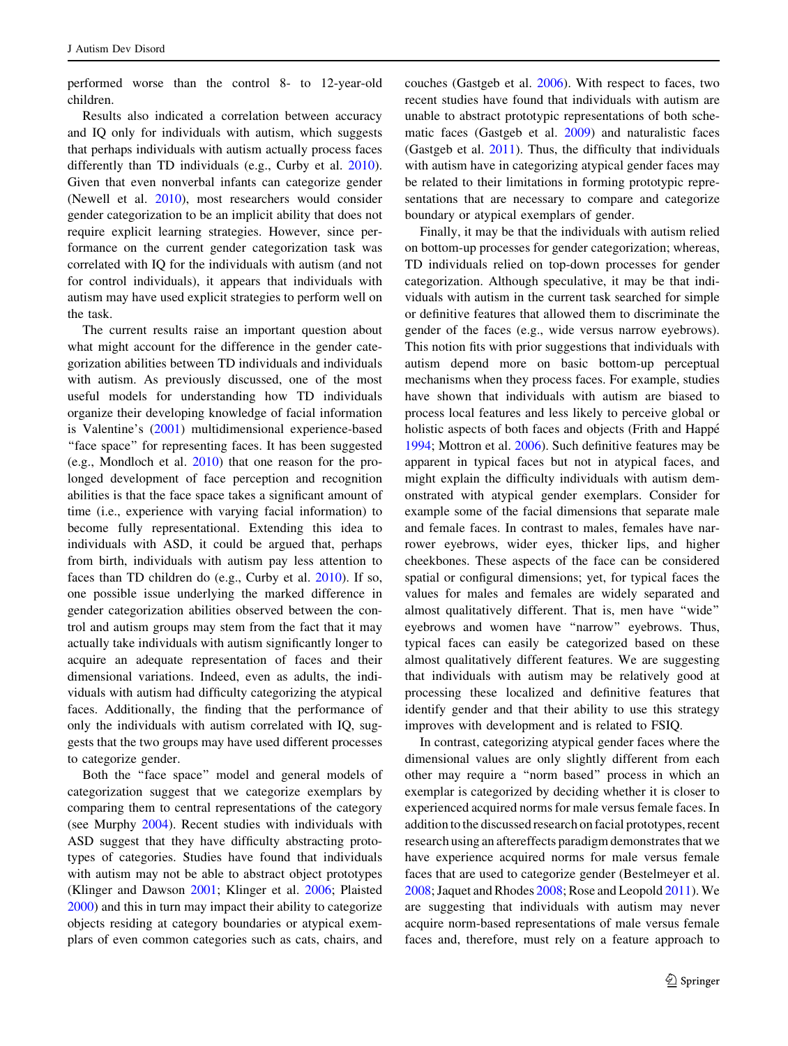performed worse than the control 8- to 12-year-old children.

Results also indicated a correlation between accuracy and IQ only for individuals with autism, which suggests that perhaps individuals with autism actually process faces differently than TD individuals (e.g., Curby et al. [2010](#page-7-0)). Given that even nonverbal infants can categorize gender (Newell et al. [2010](#page-8-0)), most researchers would consider gender categorization to be an implicit ability that does not require explicit learning strategies. However, since performance on the current gender categorization task was correlated with IQ for the individuals with autism (and not for control individuals), it appears that individuals with autism may have used explicit strategies to perform well on the task.

The current results raise an important question about what might account for the difference in the gender categorization abilities between TD individuals and individuals with autism. As previously discussed, one of the most useful models for understanding how TD individuals organize their developing knowledge of facial information is Valentine's ([2001\)](#page-8-0) multidimensional experience-based "face space" for representing faces. It has been suggested (e.g., Mondloch et al. [2010](#page-8-0)) that one reason for the prolonged development of face perception and recognition abilities is that the face space takes a significant amount of time (i.e., experience with varying facial information) to become fully representational. Extending this idea to individuals with ASD, it could be argued that, perhaps from birth, individuals with autism pay less attention to faces than TD children do (e.g., Curby et al. [2010](#page-7-0)). If so, one possible issue underlying the marked difference in gender categorization abilities observed between the control and autism groups may stem from the fact that it may actually take individuals with autism significantly longer to acquire an adequate representation of faces and their dimensional variations. Indeed, even as adults, the individuals with autism had difficulty categorizing the atypical faces. Additionally, the finding that the performance of only the individuals with autism correlated with IQ, suggests that the two groups may have used different processes to categorize gender.

Both the "face space" model and general models of categorization suggest that we categorize exemplars by comparing them to central representations of the category (see Murphy [2004](#page-8-0)). Recent studies with individuals with ASD suggest that they have difficulty abstracting prototypes of categories. Studies have found that individuals with autism may not be able to abstract object prototypes (Klinger and Dawson [2001](#page-8-0); Klinger et al. [2006;](#page-8-0) Plaisted [2000\)](#page-8-0) and this in turn may impact their ability to categorize objects residing at category boundaries or atypical exemplars of even common categories such as cats, chairs, and

couches (Gastgeb et al. [2006\)](#page-8-0). With respect to faces, two recent studies have found that individuals with autism are unable to abstract prototypic representations of both schematic faces (Gastgeb et al. [2009\)](#page-8-0) and naturalistic faces (Gastgeb et al. [2011\)](#page-8-0). Thus, the difficulty that individuals with autism have in categorizing atypical gender faces may be related to their limitations in forming prototypic representations that are necessary to compare and categorize boundary or atypical exemplars of gender.

Finally, it may be that the individuals with autism relied on bottom-up processes for gender categorization; whereas, TD individuals relied on top-down processes for gender categorization. Although speculative, it may be that individuals with autism in the current task searched for simple or definitive features that allowed them to discriminate the gender of the faces (e.g., wide versus narrow eyebrows). This notion fits with prior suggestions that individuals with autism depend more on basic bottom-up perceptual mechanisms when they process faces. For example, studies have shown that individuals with autism are biased to process local features and less likely to perceive global or holistic aspects of both faces and objects (Frith and Happé [1994](#page-8-0); Mottron et al. [2006](#page-8-0)). Such definitive features may be apparent in typical faces but not in atypical faces, and might explain the difficulty individuals with autism demonstrated with atypical gender exemplars. Consider for example some of the facial dimensions that separate male and female faces. In contrast to males, females have narrower eyebrows, wider eyes, thicker lips, and higher cheekbones. These aspects of the face can be considered spatial or configural dimensions; yet, for typical faces the values for males and females are widely separated and almost qualitatively different. That is, men have ''wide'' eyebrows and women have ''narrow'' eyebrows. Thus, typical faces can easily be categorized based on these almost qualitatively different features. We are suggesting that individuals with autism may be relatively good at processing these localized and definitive features that identify gender and that their ability to use this strategy improves with development and is related to FSIQ.

In contrast, categorizing atypical gender faces where the dimensional values are only slightly different from each other may require a ''norm based'' process in which an exemplar is categorized by deciding whether it is closer to experienced acquired norms for male versus female faces. In addition to the discussed research on facial prototypes, recent research using an aftereffects paradigm demonstrates that we have experience acquired norms for male versus female faces that are used to categorize gender (Bestelmeyer et al. [2008](#page-7-0); Jaquet and Rhodes [2008;](#page-8-0) Rose and Leopold [2011\)](#page-8-0). We are suggesting that individuals with autism may never acquire norm-based representations of male versus female faces and, therefore, must rely on a feature approach to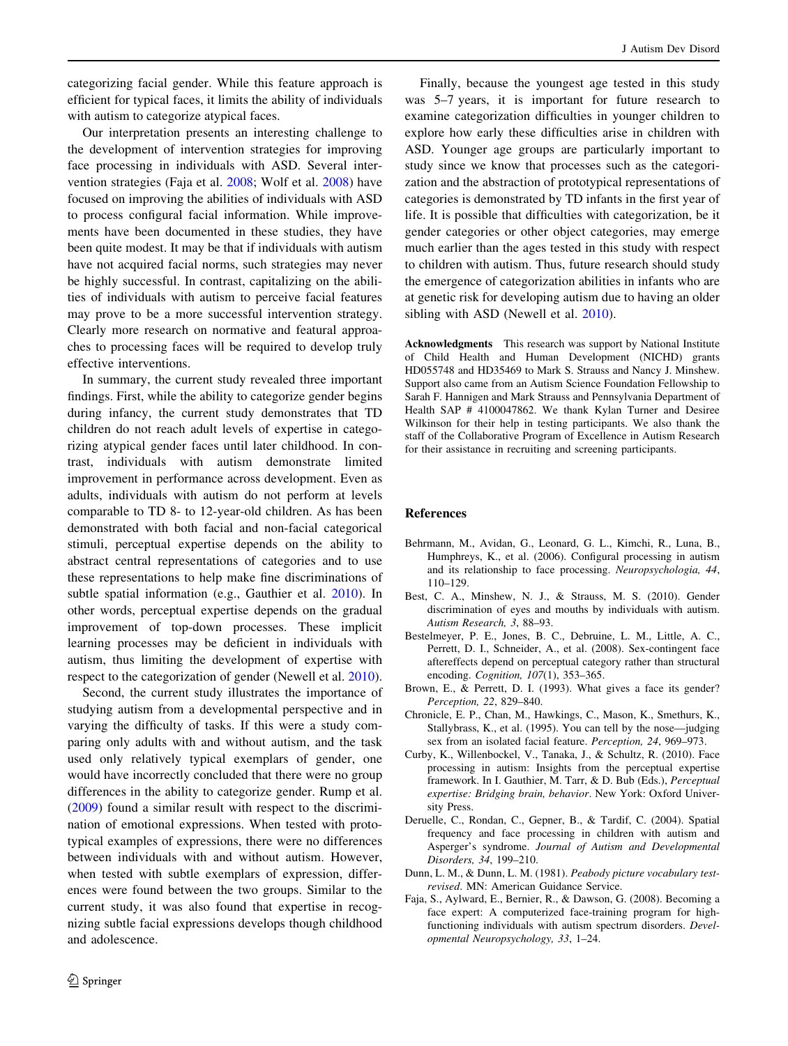<span id="page-7-0"></span>Our interpretation presents an interesting challenge to the development of intervention strategies for improving face processing in individuals with ASD. Several intervention strategies (Faja et al. 2008; Wolf et al. [2008\)](#page-8-0) have focused on improving the abilities of individuals with ASD to process configural facial information. While improvements have been documented in these studies, they have been quite modest. It may be that if individuals with autism have not acquired facial norms, such strategies may never be highly successful. In contrast, capitalizing on the abilities of individuals with autism to perceive facial features may prove to be a more successful intervention strategy. Clearly more research on normative and featural approaches to processing faces will be required to develop truly effective interventions.

In summary, the current study revealed three important findings. First, while the ability to categorize gender begins during infancy, the current study demonstrates that TD children do not reach adult levels of expertise in categorizing atypical gender faces until later childhood. In contrast, individuals with autism demonstrate limited improvement in performance across development. Even as adults, individuals with autism do not perform at levels comparable to TD 8- to 12-year-old children. As has been demonstrated with both facial and non-facial categorical stimuli, perceptual expertise depends on the ability to abstract central representations of categories and to use these representations to help make fine discriminations of subtle spatial information (e.g., Gauthier et al. [2010\)](#page-8-0). In other words, perceptual expertise depends on the gradual improvement of top-down processes. These implicit learning processes may be deficient in individuals with autism, thus limiting the development of expertise with respect to the categorization of gender (Newell et al. [2010](#page-8-0)).

Second, the current study illustrates the importance of studying autism from a developmental perspective and in varying the difficulty of tasks. If this were a study comparing only adults with and without autism, and the task used only relatively typical exemplars of gender, one would have incorrectly concluded that there were no group differences in the ability to categorize gender. Rump et al. [\(2009](#page-8-0)) found a similar result with respect to the discrimination of emotional expressions. When tested with prototypical examples of expressions, there were no differences between individuals with and without autism. However, when tested with subtle exemplars of expression, differences were found between the two groups. Similar to the current study, it was also found that expertise in recognizing subtle facial expressions develops though childhood and adolescence.

Finally, because the youngest age tested in this study was 5–7 years, it is important for future research to examine categorization difficulties in younger children to explore how early these difficulties arise in children with ASD. Younger age groups are particularly important to study since we know that processes such as the categorization and the abstraction of prototypical representations of categories is demonstrated by TD infants in the first year of life. It is possible that difficulties with categorization, be it gender categories or other object categories, may emerge much earlier than the ages tested in this study with respect to children with autism. Thus, future research should study the emergence of categorization abilities in infants who are at genetic risk for developing autism due to having an older sibling with ASD (Newell et al. [2010](#page-8-0)).

Acknowledgments This research was support by National Institute of Child Health and Human Development (NICHD) grants HD055748 and HD35469 to Mark S. Strauss and Nancy J. Minshew. Support also came from an Autism Science Foundation Fellowship to Sarah F. Hannigen and Mark Strauss and Pennsylvania Department of Health SAP # 4100047862. We thank Kylan Turner and Desiree Wilkinson for their help in testing participants. We also thank the staff of the Collaborative Program of Excellence in Autism Research for their assistance in recruiting and screening participants.

## **References**

- Behrmann, M., Avidan, G., Leonard, G. L., Kimchi, R., Luna, B., Humphreys, K., et al. (2006). Configural processing in autism and its relationship to face processing. Neuropsychologia, 44, 110–129.
- Best, C. A., Minshew, N. J., & Strauss, M. S. (2010). Gender discrimination of eyes and mouths by individuals with autism. Autism Research, 3, 88–93.
- Bestelmeyer, P. E., Jones, B. C., Debruine, L. M., Little, A. C., Perrett, D. I., Schneider, A., et al. (2008). Sex-contingent face aftereffects depend on perceptual category rather than structural encoding. Cognition, 107(1), 353-365.
- Brown, E., & Perrett, D. I. (1993). What gives a face its gender? Perception, 22, 829–840.
- Chronicle, E. P., Chan, M., Hawkings, C., Mason, K., Smethurs, K., Stallybrass, K., et al. (1995). You can tell by the nose—judging sex from an isolated facial feature. Perception, 24, 969–973.
- Curby, K., Willenbockel, V., Tanaka, J., & Schultz, R. (2010). Face processing in autism: Insights from the perceptual expertise framework. In I. Gauthier, M. Tarr, & D. Bub (Eds.), Perceptual expertise: Bridging brain, behavior. New York: Oxford University Press.
- Deruelle, C., Rondan, C., Gepner, B., & Tardif, C. (2004). Spatial frequency and face processing in children with autism and Asperger's syndrome. Journal of Autism and Developmental Disorders, 34, 199–210.
- Dunn, L. M., & Dunn, L. M. (1981). Peabody picture vocabulary testrevised. MN: American Guidance Service.
- Faja, S., Aylward, E., Bernier, R., & Dawson, G. (2008). Becoming a face expert: A computerized face-training program for highfunctioning individuals with autism spectrum disorders. Developmental Neuropsychology, 33, 1–24.